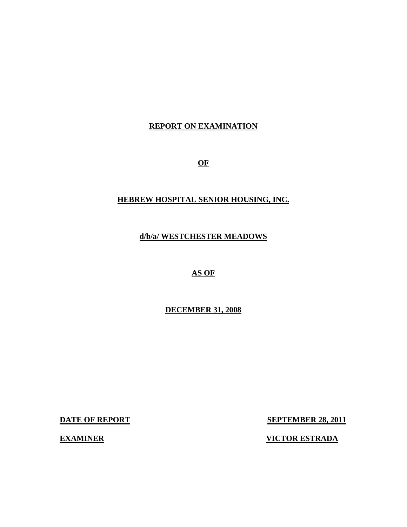## **REPORT ON EXAMINATION**

**OF** 

## **HEBREW HOSPITAL SENIOR HOUSING, INC.**

**d/b/a/ WESTCHESTER MEADOWS** 

## **AS OF**

**DECEMBER 31, 2008** 

**DATE OF REPORT SEPTEMBER 28, 2011** 

**EXAMINER VICTOR ESTRADA**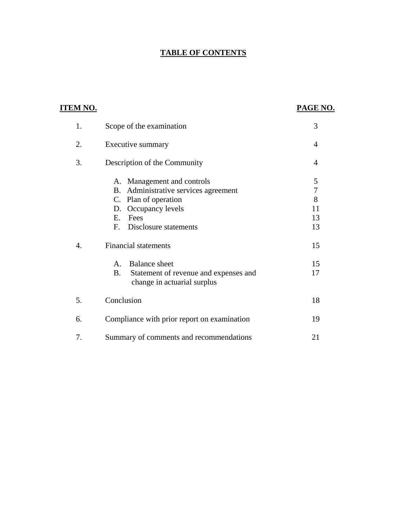## **TABLE OF CONTENTS**

| <u>ITEM NO.</u> |                                                                            | PAGE NO.            |
|-----------------|----------------------------------------------------------------------------|---------------------|
| 1.              | Scope of the examination                                                   | 3                   |
| 2.              | Executive summary                                                          | 4                   |
| 3.              | Description of the Community                                               | 4                   |
|                 | A. Management and controls                                                 | 5                   |
|                 | Administrative services agreement<br>B.                                    | $\overline{7}$<br>8 |
|                 | C. Plan of operation<br>D. Occupancy levels                                | 11                  |
|                 | Fees<br>Е.                                                                 | 13                  |
|                 | F. Disclosure statements                                                   | 13                  |
| 4.              | <b>Financial statements</b>                                                | 15                  |
|                 | <b>Balance</b> sheet<br>$A_{\cdot}$                                        | 15                  |
|                 | B.<br>Statement of revenue and expenses and<br>change in actuarial surplus | 17                  |
| 5.              | Conclusion                                                                 | 18                  |
| 6.              | Compliance with prior report on examination                                | 19                  |
| 7.              | Summary of comments and recommendations                                    | 21                  |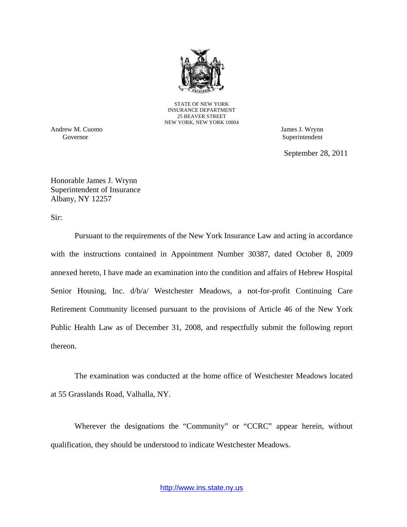

STATE OF NEW YORK INSURANCE DEPARTMENT 25 BEAVER STREET NEW YORK, NEW YORK 10004

Andrew M. Cuomo James J. Wrynn

Governor Superintendent Superintendent Superintendent Superintendent Superintendent Superintendent Superintendent Superintendent Superintendent Superintendent Superintendent Superintendent Superintendent Superintendent Sup

September 28, 2011

Honorable James J. Wrynn Superintendent of Insurance Albany, NY 12257

Sir:

Pursuant to the requirements of the New York Insurance Law and acting in accordance with the instructions contained in Appointment Number 30387, dated October 8, 2009 annexed hereto, I have made an examination into the condition and affairs of Hebrew Hospital Senior Housing, Inc. d/b/a/ Westchester Meadows, a not-for-profit Continuing Care Retirement Community licensed pursuant to the provisions of Article 46 of the New York Public Health Law as of December 31, 2008, and respectfully submit the following report thereon.

The examination was conducted at the home office of Westchester Meadows located at 55 Grasslands Road, Valhalla, NY.

Wherever the designations the "Community" or "CCRC" appear herein, without qualification, they should be understood to indicate Westchester Meadows.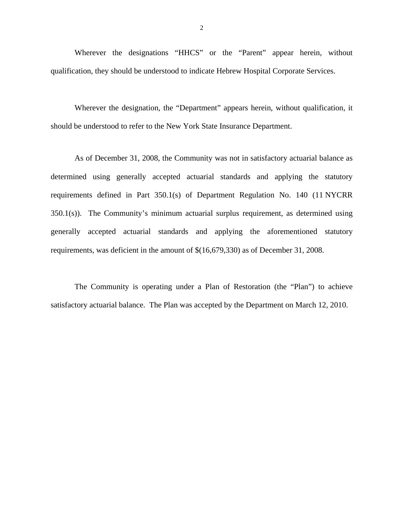Wherever the designations "HHCS" or the "Parent" appear herein, without qualification, they should be understood to indicate Hebrew Hospital Corporate Services.

Wherever the designation, the "Department" appears herein, without qualification, it should be understood to refer to the New York State Insurance Department.

As of December 31, 2008, the Community was not in satisfactory actuarial balance as determined using generally accepted actuarial standards and applying the statutory requirements defined in Part 350.1(s) of Department Regulation No. 140 (11 NYCRR 350.1(s)). The Community's minimum actuarial surplus requirement, as determined using generally accepted actuarial standards and applying the aforementioned statutory requirements, was deficient in the amount of \$(16,679,330) as of December 31, 2008.

The Community is operating under a Plan of Restoration (the "Plan") to achieve satisfactory actuarial balance. The Plan was accepted by the Department on March 12, 2010.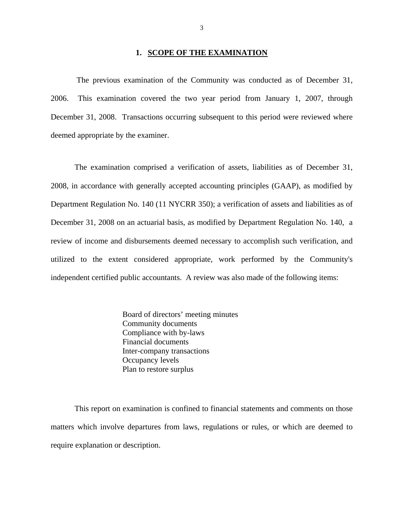### **1. SCOPE OF THE EXAMINATION**

The previous examination of the Community was conducted as of December 31, 2006. This examination covered the two year period from January 1, 2007, through December 31, 2008. Transactions occurring subsequent to this period were reviewed where deemed appropriate by the examiner.

The examination comprised a verification of assets, liabilities as of December 31, 2008, in accordance with generally accepted accounting principles (GAAP), as modified by Department Regulation No. 140 (11 NYCRR 350); a verification of assets and liabilities as of December 31, 2008 on an actuarial basis, as modified by Department Regulation No. 140, a review of income and disbursements deemed necessary to accomplish such verification, and utilized to the extent considered appropriate, work performed by the Community's independent certified public accountants. A review was also made of the following items:

> Board of directors' meeting minutes Community documents Compliance with by-laws Financial documents Inter-company transactions Occupancy levels Plan to restore surplus

This report on examination is confined to financial statements and comments on those matters which involve departures from laws, regulations or rules, or which are deemed to require explanation or description.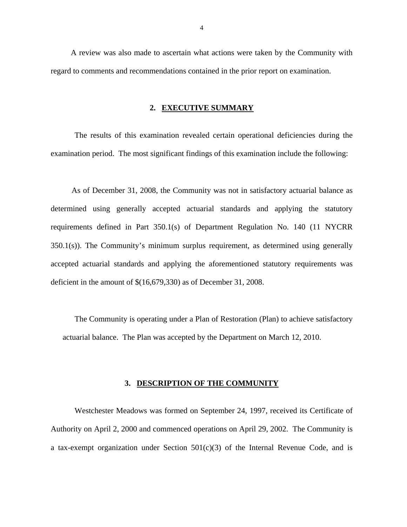<span id="page-5-0"></span>A review was also made to ascertain what actions were taken by the Community with regard to comments and recommendations contained in the prior report on examination.

### **2. EXECUTIVE SUMMARY**

The results of this examination revealed certain operational deficiencies during the examination period. The most significant findings of this examination include the following:

As of December 31, 2008, the Community was not in satisfactory actuarial balance as determined using generally accepted actuarial standards and applying the statutory requirements defined in Part 350.1(s) of Department Regulation No. 140 (11 NYCRR 350.1(s)). The Community's minimum surplus requirement, as determined using generally accepted actuarial standards and applying the aforementioned statutory requirements was deficient in the amount of \$(16,679,330) as of December 31, 2008.

The Community is operating under a Plan of Restoration (Plan) to achieve satisfactory actuarial balance. The Plan was accepted by the Department on March 12, 2010.

### **3. DESCRIPTION OF THE COMMUNITY**

Westchester Meadows was formed on September 24, 1997, received its Certificate of Authority on April 2, 2000 and commenced operations on April 29, 2002. The Community is a tax-exempt organization under Section  $501(c)(3)$  of the Internal Revenue Code, and is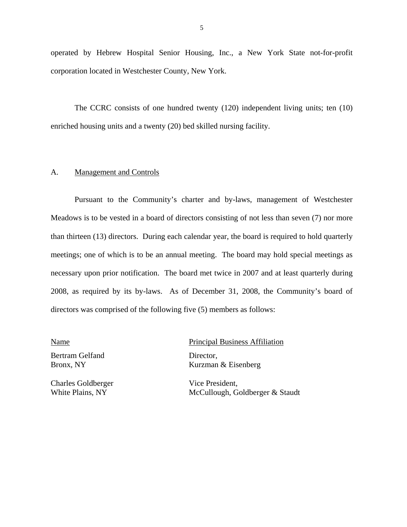<span id="page-6-0"></span>operated by Hebrew Hospital Senior Housing, Inc., a New York State not-for-profit corporation located in Westchester County, New York.

The CCRC consists of one hundred twenty (120) independent living units; ten (10) enriched housing units and a twenty (20) bed skilled nursing facility.

### A. Management and Controls

Pursuant to the Community's charter and by-laws, management of Westchester Meadows is to be vested in a board of directors consisting of not less than seven (7) nor more than thirteen (13) directors. During each calendar year, the board is required to hold quarterly meetings; one of which is to be an annual meeting. The board may hold special meetings as necessary upon prior notification. The board met twice in 2007 and at least quarterly during 2008, as required by its by-laws. As of December 31, 2008, the Community's board of directors was comprised of the following five (5) members as follows:

Bertram Gelfand Director,

Charles Goldberger Vice President,

Name Principal Business Affiliation

Bronx, NY Kurzman & Eisenberg

White Plains, NY McCullough, Goldberger & Staudt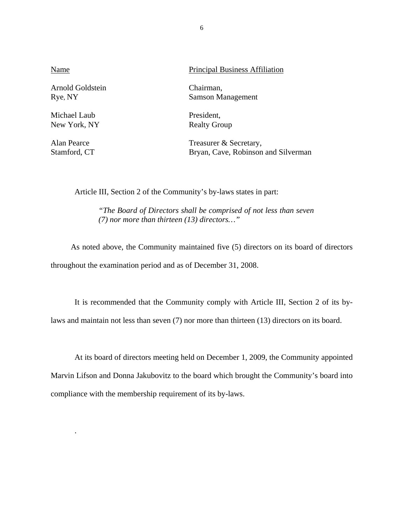| Name             | <b>Principal Business Affiliation</b> |
|------------------|---------------------------------------|
| Arnold Goldstein | Chairman,                             |
| Rye, NY          | Samson Management                     |

Michael Laub President. New York, NY Realty Group

.

Alan Pearce Treasurer & Secretary, Stamford, CT Bryan, Cave, Robinson and Silverman

Article III, Section 2 of the Community's by-laws states in part:

*"The Board of Directors shall be comprised of not less than seven (7) nor more than thirteen (13) directors…"* 

As noted above, the Community maintained five (5) directors on its board of directors throughout the examination period and as of December 31, 2008.

It is recommended that the Community comply with Article III, Section 2 of its bylaws and maintain not less than seven (7) nor more than thirteen (13) directors on its board.

At its board of directors meeting held on December 1, 2009, the Community appointed Marvin Lifson and Donna Jakubovitz to the board which brought the Community's board into compliance with the membership requirement of its by-laws.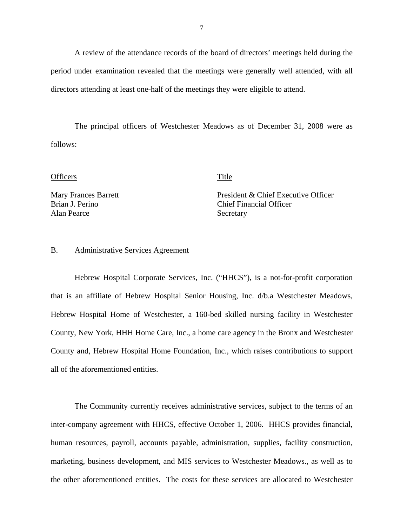A review of the attendance records of the board of directors' meetings held during the period under examination revealed that the meetings were generally well attended, with all directors attending at least one-half of the meetings they were eligible to attend.

The principal officers of Westchester Meadows as of December 31, 2008 were as follows:

Officers Title

 Brian J. Perino Mary Frances Barrett Alan Pearce

President & Chief Executive Officer Chief Financial Officer Secretary

### B. Administrative Services Agreement

Hebrew Hospital Corporate Services, Inc. ("HHCS"), is a not-for-profit corporation that is an affiliate of Hebrew Hospital Senior Housing, Inc. d/b.a Westchester Meadows, Hebrew Hospital Home of Westchester, a 160-bed skilled nursing facility in Westchester County, New York, HHH Home Care, Inc., a home care agency in the Bronx and Westchester County and, Hebrew Hospital Home Foundation, Inc., which raises contributions to support all of the aforementioned entities.

The Community currently receives administrative services, subject to the terms of an inter-company agreement with HHCS, effective October 1, 2006. HHCS provides financial, human resources, payroll, accounts payable, administration, supplies, facility construction, marketing, business development, and MIS services to Westchester Meadows., as well as to the other aforementioned entities. The costs for these services are allocated to Westchester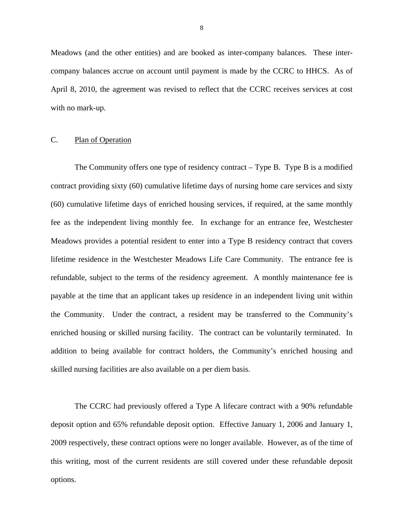<span id="page-9-0"></span>Meadows (and the other entities) and are booked as inter-company balances. These intercompany balances accrue on account until payment is made by the CCRC to HHCS. As of April 8, 2010, the agreement was revised to reflect that the CCRC receives services at cost with no mark-up.

### C. Plan of Operation

The Community offers one type of residency contract – Type B. Type B is a modified contract providing sixty (60) cumulative lifetime days of nursing home care services and sixty (60) cumulative lifetime days of enriched housing services, if required, at the same monthly fee as the independent living monthly fee. In exchange for an entrance fee, Westchester Meadows provides a potential resident to enter into a Type B residency contract that covers lifetime residence in the Westchester Meadows Life Care Community. The entrance fee is refundable, subject to the terms of the residency agreement. A monthly maintenance fee is payable at the time that an applicant takes up residence in an independent living unit within the Community. Under the contract, a resident may be transferred to the Community's enriched housing or skilled nursing facility. The contract can be voluntarily terminated. In addition to being available for contract holders, the Community's enriched housing and skilled nursing facilities are also available on a per diem basis.

The CCRC had previously offered a Type A lifecare contract with a 90% refundable deposit option and 65% refundable deposit option. Effective January 1, 2006 and January 1, 2009 respectively, these contract options were no longer available. However, as of the time of this writing, most of the current residents are still covered under these refundable deposit options.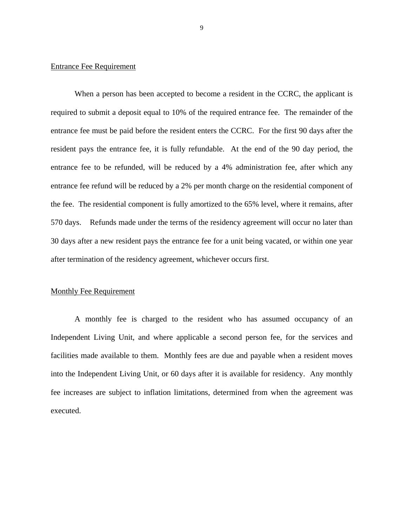### Entrance Fee Requirement

When a person has been accepted to become a resident in the CCRC, the applicant is required to submit a deposit equal to 10% of the required entrance fee. The remainder of the entrance fee must be paid before the resident enters the CCRC. For the first 90 days after the resident pays the entrance fee, it is fully refundable. At the end of the 90 day period, the entrance fee to be refunded, will be reduced by a 4% administration fee, after which any entrance fee refund will be reduced by a 2% per month charge on the residential component of the fee. The residential component is fully amortized to the 65% level, where it remains, after 570 days. Refunds made under the terms of the residency agreement will occur no later than 30 days after a new resident pays the entrance fee for a unit being vacated, or within one year after termination of the residency agreement, whichever occurs first.

### Monthly Fee Requirement

A monthly fee is charged to the resident who has assumed occupancy of an Independent Living Unit, and where applicable a second person fee, for the services and facilities made available to them. Monthly fees are due and payable when a resident moves into the Independent Living Unit, or 60 days after it is available for residency. Any monthly fee increases are subject to inflation limitations, determined from when the agreement was executed.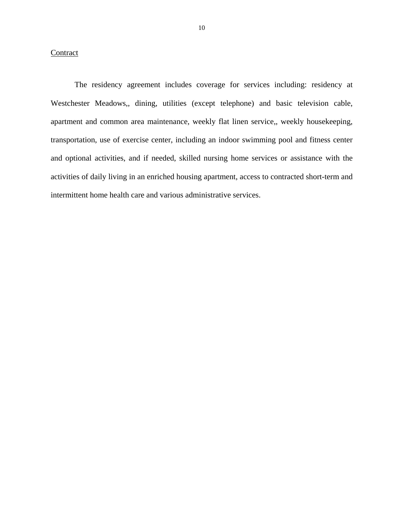### **Contract**

The residency agreement includes coverage for services including: residency at Westchester Meadows,, dining, utilities (except telephone) and basic television cable, apartment and common area maintenance, weekly flat linen service,, weekly housekeeping, transportation, use of exercise center, including an indoor swimming pool and fitness center and optional activities, and if needed, skilled nursing home services or assistance with the activities of daily living in an enriched housing apartment, access to contracted short-term and intermittent home health care and various administrative services.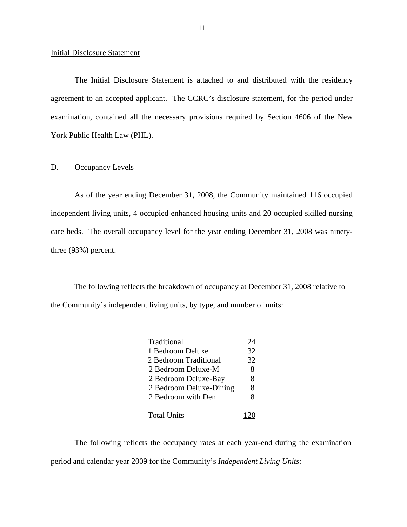### Initial Disclosure Statement

The Initial Disclosure Statement is attached to and distributed with the residency agreement to an accepted applicant. The CCRC's disclosure statement, for the period under examination, contained all the necessary provisions required by Section 4606 of the New York Public Health Law (PHL).

### D. Occupancy Levels

As of the year ending December 31, 2008, the Community maintained 116 occupied independent living units, 4 occupied enhanced housing units and 20 occupied skilled nursing care beds. The overall occupancy level for the year ending December 31, 2008 was ninetythree (93%) percent.

The following reflects the breakdown of occupancy at December 31, 2008 relative to the Community's independent living units, by type, and number of units:

| Traditional             | 24 |
|-------------------------|----|
| 1 Bedroom Deluxe        | 32 |
| 2 Bedroom Traditional   | 32 |
| 2 Bedroom Deluxe-M      | 8  |
| 2 Bedroom Deluxe-Bay    | 8  |
| 2 Bedroom Deluxe-Dining | 8  |
| 2 Bedroom with Den      | 8  |
| <b>Total Units</b>      |    |

The following reflects the occupancy rates at each year-end during the examination period and calendar year 2009 for the Community's *Independent Living Units*: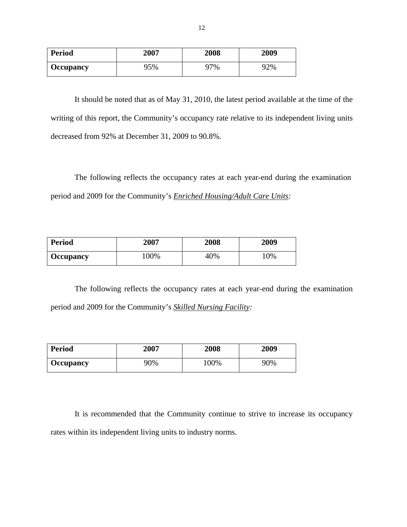| <b>Period</b> | 2007 | 2008 | 2009 |
|---------------|------|------|------|
| Occupancy     | 95%  | 97%  | 92%  |

It should be noted that as of May 31, 2010, the latest period available at the time of the writing of this report, the Community's occupancy rate relative to its independent living units decreased from 92% at December 31, 2009 to 90.8%.

The following reflects the occupancy rates at each year-end during the examination period and 2009 for the Community's *Enriched Housing/Adult Care Units:* 

| <b>Period</b>    | 2007 | 2008 | 2009 |
|------------------|------|------|------|
| <b>Occupancy</b> | 100% | 40%  | 10%  |

The following reflects the occupancy rates at each year-end during the examination period and 2009 for the Community's *Skilled Nursing Facility:* 

| <b>Period</b> | 2007 | 2008 | 2009 |
|---------------|------|------|------|
| Occupancy     | 90%  | 100% | 90%  |

It is recommended that the Community continue to strive to increase its occupancy rates within its independent living units to industry norms.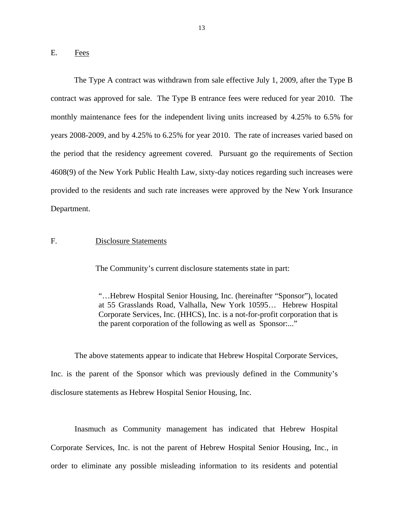### <span id="page-14-0"></span>E. Fees

The Type A contract was withdrawn from sale effective July 1, 2009, after the Type B contract was approved for sale. The Type B entrance fees were reduced for year 2010. The monthly maintenance fees for the independent living units increased by 4.25% to 6.5% for years 2008-2009, and by 4.25% to 6.25% for year 2010. The rate of increases varied based on the period that the residency agreement covered. Pursuant go the requirements of Section 4608(9) of the New York Public Health Law, sixty-day notices regarding such increases were provided to the residents and such rate increases were approved by the New York Insurance Department.

### F. Disclosure Statements

The Community's current disclosure statements state in part:

"…Hebrew Hospital Senior Housing, Inc. (hereinafter "Sponsor"), located at 55 Grasslands Road, Valhalla, New York 10595… Hebrew Hospital Corporate Services, Inc. (HHCS), Inc. is a not-for-profit corporation that is the parent corporation of the following as well as Sponsor:..."

The above statements appear to indicate that Hebrew Hospital Corporate Services, Inc. is the parent of the Sponsor which was previously defined in the Community's disclosure statements as Hebrew Hospital Senior Housing, Inc.

Inasmuch as Community management has indicated that Hebrew Hospital Corporate Services, Inc. is not the parent of Hebrew Hospital Senior Housing, Inc., in order to eliminate any possible misleading information to its residents and potential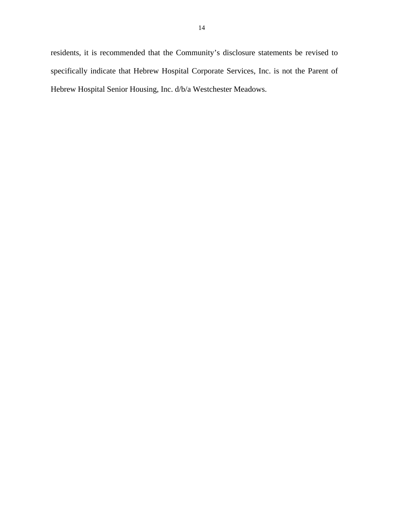residents, it is recommended that the Community's disclosure statements be revised to specifically indicate that Hebrew Hospital Corporate Services, Inc. is not the Parent of Hebrew Hospital Senior Housing, Inc. d/b/a Westchester Meadows.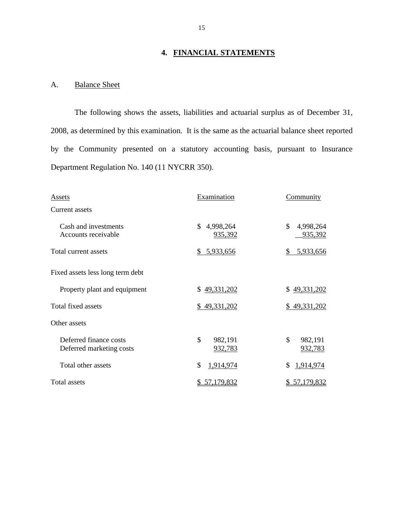## **4. FINANCIAL STATEMENTS**

## A. Balance Sheet

The following shows the assets, liabilities and actuarial surplus as of December 31, 2008, as determined by this examination. It is the same as the actuarial balance sheet reported by the Community presented on a statutory accounting basis, pursuant to Insurance Department Regulation No. 140 (11 NYCRR 350).

| Assets                                             | Examination                | <b>Community</b>           |  |
|----------------------------------------------------|----------------------------|----------------------------|--|
| Current assets                                     |                            |                            |  |
| Cash and investments<br>Accounts receivable        | \$<br>4,998,264<br>935,392 | \$<br>4,998,264<br>935,392 |  |
| Total current assets                               | \$5,933,656                | \$<br>5,933,656            |  |
| Fixed assets less long term debt                   |                            |                            |  |
| Property plant and equipment                       | \$49,331,202               | \$49,331,202               |  |
| Total fixed assets                                 | \$49,331,202               | \$49,331,202               |  |
| Other assets                                       |                            |                            |  |
| Deferred finance costs<br>Deferred marketing costs | \$<br>982,191<br>932,783   | \$<br>982,191<br>932,783   |  |
| Total other assets                                 | \$<br>1,914,974            | 1,914,974<br>S             |  |
| Total assets                                       | \$57,179,832               | \$57,179,832               |  |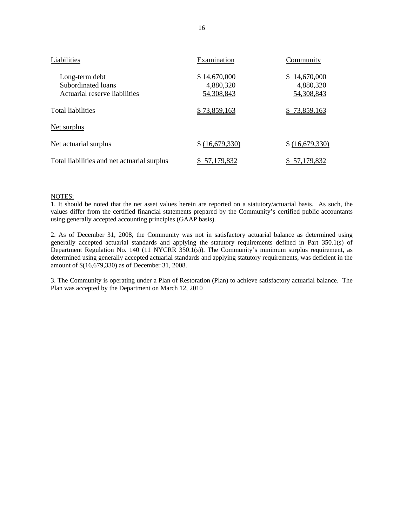| Liabilities                                                           | Examination                             | Community                               |  |
|-----------------------------------------------------------------------|-----------------------------------------|-----------------------------------------|--|
| Long-term debt<br>Subordinated loans<br>Actuarial reserve liabilities | \$14,670,000<br>4,880,320<br>54,308,843 | \$14,670,000<br>4,880,320<br>54,308,843 |  |
| <b>Total liabilities</b>                                              | \$73,859,163                            | 73,859,163                              |  |
| Net surplus                                                           |                                         |                                         |  |
| Net actuarial surplus                                                 | \$ (16,679,330)                         | \$ (16,679,330)                         |  |
| Total liabilities and net actuarial surplus                           | 57,179,832                              | 57,179,832                              |  |

### NOTES:

1. It should be noted that the net asset values herein are reported on a statutory/actuarial basis. As such, the values differ from the certified financial statements prepared by the Community's certified public accountants using generally accepted accounting principles (GAAP basis).

amount of \$(16,679,330) as of December 31, 2008. 2. As of December 31, 2008, the Community was not in satisfactory actuarial balance as determined using generally accepted actuarial standards and applying the statutory requirements defined in Part 350.1(s) of Department Regulation No. 140 (11 NYCRR 350.1(s)). The Community's minimum surplus requirement, as determined using generally accepted actuarial standards and applying statutory requirements, was deficient in the

 Plan was accepted by the Department on March 12, 2010 3. The Community is operating under a Plan of Restoration (Plan) to achieve satisfactory actuarial balance. The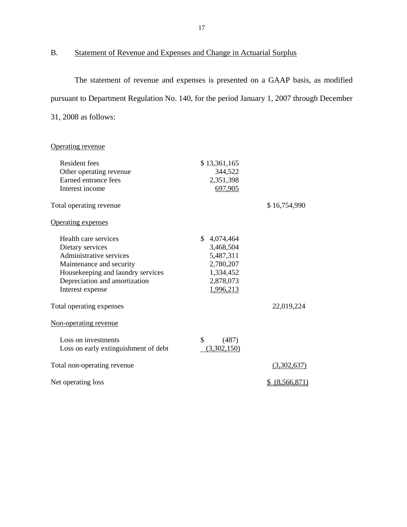B. Statement of Revenue and Expenses and Change in Actuarial Surplus

The statement of revenue and expenses is presented on a GAAP basis, as modified pursuant to Department Regulation No. 140, for the period January 1, 2007 through December

31, 2008 as follows:

Operating revenue

| <b>Resident fees</b>                 | \$13,361,165    |                   |
|--------------------------------------|-----------------|-------------------|
| Other operating revenue              | 344,522         |                   |
| Earned entrance fees                 | 2,351,398       |                   |
| Interest income                      | 697,905         |                   |
| Total operating revenue              |                 | \$16,754,990      |
| <b>Operating expenses</b>            |                 |                   |
| Health care services                 | \$<br>4,074,464 |                   |
| Dietary services                     | 3,468,504       |                   |
| Administrative services              | 5,487,311       |                   |
| Maintenance and security             | 2,780,207       |                   |
| Housekeeping and laundry services    | 1,334,452       |                   |
| Depreciation and amortization        | 2,878,073       |                   |
| Interest expense                     | 1,996,213       |                   |
| Total operating expenses             |                 | 22,019,224        |
| Non-operating revenue                |                 |                   |
| Loss on investments                  | \$<br>(487)     |                   |
| Loss on early extinguishment of debt | (3,302,150)     |                   |
| Total non-operating revenue          |                 | (3,302,637)       |
| Net operating loss                   |                 | (8,566,871)<br>\$ |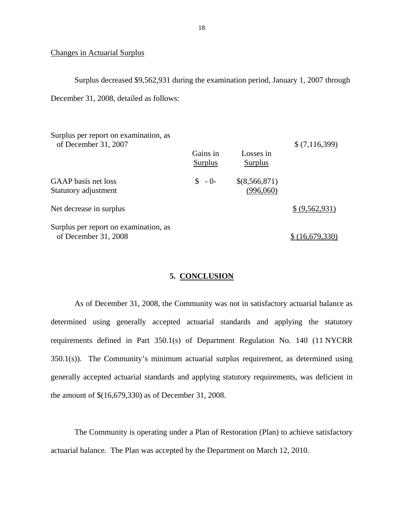### Changes in Actuarial Surplus

Surplus decreased \$9,562,931 during the examination period, January 1, 2007 through December 31, 2008, detailed as follows:

| Surplus per report on examination, as<br>of December 31, 2007 | Gains in<br>Surplus | Losses in<br>Surplus       | \$(7,116,399)  |
|---------------------------------------------------------------|---------------------|----------------------------|----------------|
| <b>GAAP</b> basis net loss<br>Statutory adjustment            | $\frac{1}{2}$ - 0-  | \$(8,566,871)<br>(996,060) |                |
| Net decrease in surplus                                       |                     |                            | \$ (9,562,931) |
| Surplus per report on examination, as<br>of December 31, 2008 |                     |                            |                |

### **5. CONCLUSION**

As of December 31, 2008, the Community was not in satisfactory actuarial balance as determined using generally accepted actuarial standards and applying the statutory requirements defined in Part 350.1(s) of Department Regulation No. 140 (11 NYCRR 350.1(s)). The Community's minimum actuarial surplus requirement, as determined using generally accepted actuarial standards and applying statutory requirements, was deficient in the amount of \$(16,679,330) as of December 31, 2008.

The Community is operating under a Plan of Restoration (Plan) to achieve satisfactory actuarial balance. The Plan was accepted by the Department on March 12, 2010.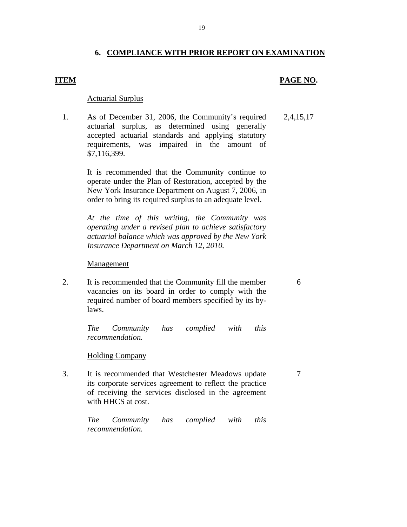### **6. COMPLIANCE WITH PRIOR REPORT ON EXAMINATION**

### <span id="page-20-0"></span>**ITEM PAGE NO.**

### Actuarial Surplus

1. As of December 31, 2006, the Community's required 2,4,15,17 actuarial surplus, as determined using generally accepted actuarial standards and applying statutory requirements, was impaired in the amount of \$7,116,399.

It is recommended that the Community continue to operate under the Plan of Restoration, accepted by the New York Insurance Department on August 7, 2006, in order to bring its required surplus to an adequate level.

*At the time of this writing, the Community was operating under a revised plan to achieve satisfactory actuarial balance which was approved by the New York Insurance Department on March 12, 2010.* 

### Management

2. It is recommended that the Community fill the member 6 vacancies on its board in order to comply with the required number of board members specified by its bylaws.

> *The Community has complied with this recommendation.*

Holding Company

3. It is recommended that Westchester Meadows update 7 its corporate services agreement to reflect the practice of receiving the services disclosed in the agreement with HHCS at cost.

> *The Community has complied with this recommendation.*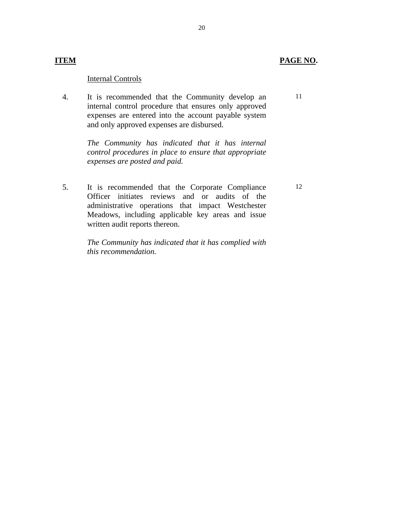### **ITEM**

### Internal Controls

4. It is recommended that the Community develop an internal control procedure that ensures only approved expenses are entered into the account payable system and only approved expenses are disbursed. **EAGE NO.**<br> **It is recommended that the Community develop an**<br> **It is recommended that the Community develop an**<br> **expenses are entered into the account payable system**<br> **and only approved expenses are disbursed.**<br> **The Co** 

expenses are posted and paid. *The Community has indicated that it has internal control procedures in place to ensure that appropriate* 

5. It is recommended that the Corporate Compliance Officer initiates reviews and or audits of the administrative operations that impact Westchester Meadows, including applicable key areas and issue written audit reports thereon.

> *The Community has indicated that it has complied with this recommendation.*

11

12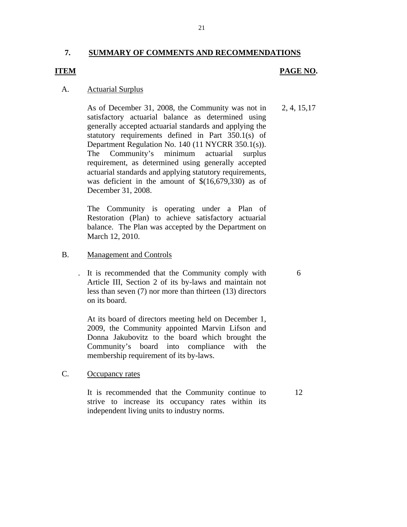### <span id="page-22-0"></span>**7. SUMMARY OF COMMENTS AND RECOMMENDATIONS**

### **ITEM** PAGE NO.

### A. Actuarial Surplus

As of December 31, 2008, the Community was not in 2, 4, 15,17 satisfactory actuarial balance as determined using generally accepted actuarial standards and applying the statutory requirements defined in Part 350.1(s) of Department Regulation No. 140 (11 NYCRR 350.1(s)). The Community's minimum actuarial surplus requirement, as determined using generally accepted actuarial standards and applying statutory requirements, was deficient in the amount of \$(16,679,330) as of December 31, 2008.

The Community is operating under a Plan of Restoration (Plan) to achieve satisfactory actuarial balance. The Plan was accepted by the Department on March 12, 2010.

### B. Management and Controls

. It is recommended that the Community comply with 6 Article III, Section 2 of its by-laws and maintain not less than seven (7) nor more than thirteen (13) directors on its board.

At its board of directors meeting held on December 1, 2009, the Community appointed Marvin Lifson and Donna Jakubovitz to the board which brought the Community's board into compliance with the membership requirement of its by-laws.

### C. Occupancy rates

It is recommended that the Community continue to 12 strive to increase its occupancy rates within its independent living units to industry norms.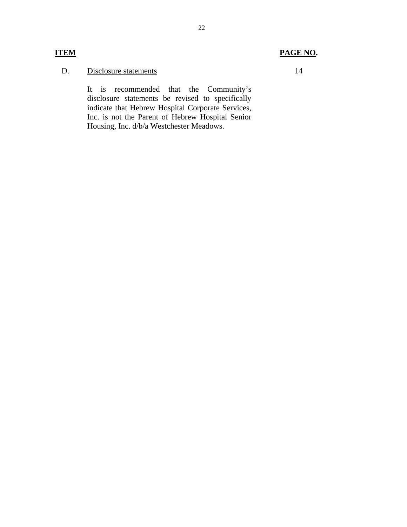## **ITEM PAGE NO.**

### D. Disclosure statements 14

It is recommended that the Community's disclosure statements be revised to specifically indicate that Hebrew Hospital Corporate Services, Inc. is not the Parent of Hebrew Hospital Senior Housing, Inc. d/b/a Westchester Meadows.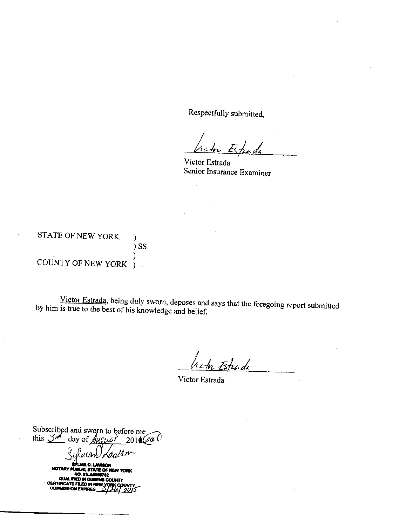Respectfully submitted,

Victor Estrada Senior Insurance Examiner

STATE OF NEW YORK  $\mathcal{E}$  $)$  SS. ) COUNTY OF NEW YORK )

Victor Estrada, being duly sworn, deposes and says that the foregoing report submitted by him is true to the best of his knowledge and belief.

*Fshada* 

Victor Estrada

Subscribed and sworn to before me this  $\frac{3}{4}$  day of  $\frac{4}{4}$ 2010 $\mathcal{A}$ 

A D. LAWKON **NOTARY 5 BTATE OF NEW YORK** 1722 QUALIFIED IN QUEENS COUNTY CERTIFICATE FILED IN NEW.) **COMMISSION EXPIRES**